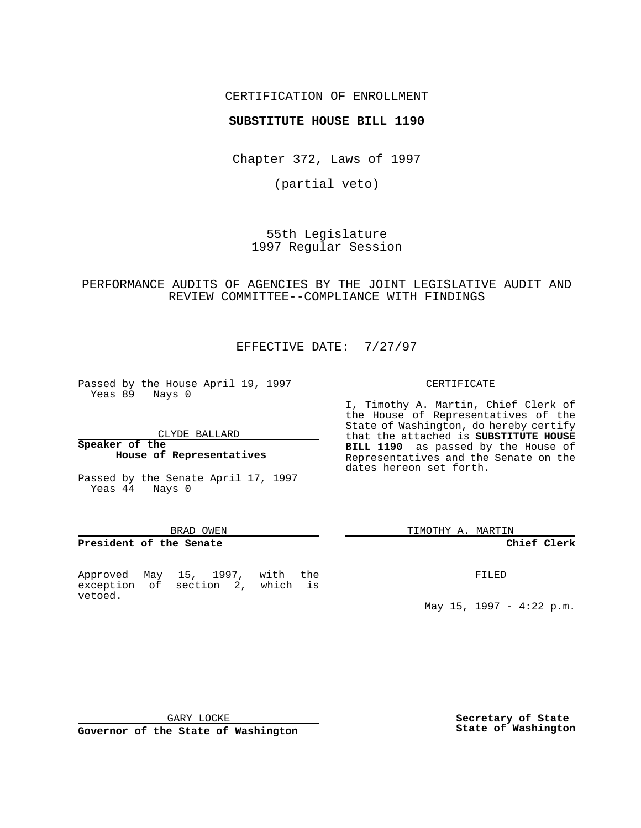# CERTIFICATION OF ENROLLMENT

# **SUBSTITUTE HOUSE BILL 1190**

Chapter 372, Laws of 1997

(partial veto)

55th Legislature 1997 Regular Session

PERFORMANCE AUDITS OF AGENCIES BY THE JOINT LEGISLATIVE AUDIT AND REVIEW COMMITTEE--COMPLIANCE WITH FINDINGS

# EFFECTIVE DATE: 7/27/97

Passed by the House April 19, 1997 Yeas 89 Nays 0

CLYDE BALLARD

**Speaker of the House of Representatives**

Passed by the Senate April 17, 1997 Yeas 44 Nays 0

#### BRAD OWEN

### **President of the Senate**

Approved May 15, 1997, with the exception of section 2, which is vetoed.

### CERTIFICATE

I, Timothy A. Martin, Chief Clerk of the House of Representatives of the State of Washington, do hereby certify that the attached is **SUBSTITUTE HOUSE BILL 1190** as passed by the House of Representatives and the Senate on the dates hereon set forth.

TIMOTHY A. MARTIN

# **Chief Clerk**

FILED

May 15, 1997 - 4:22 p.m.

GARY LOCKE

**Governor of the State of Washington**

**Secretary of State State of Washington**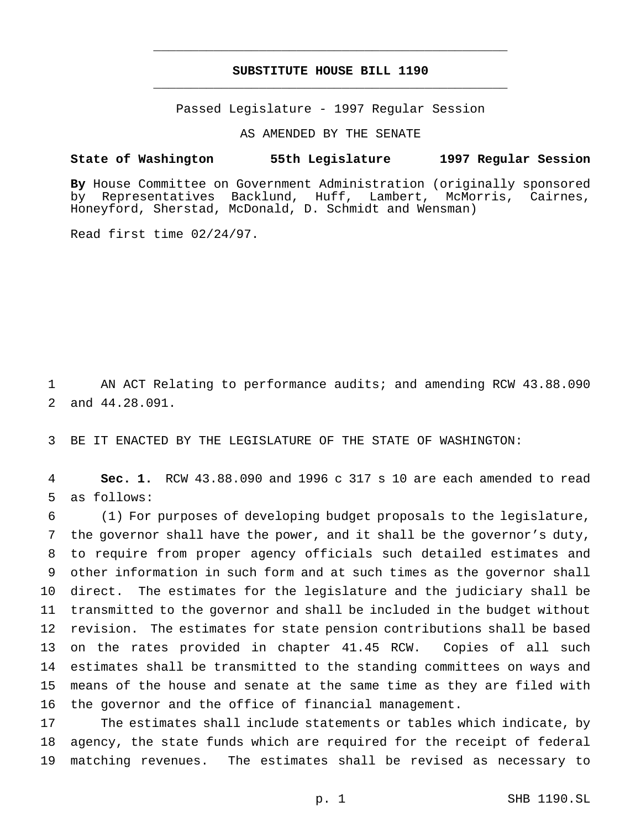# **SUBSTITUTE HOUSE BILL 1190** \_\_\_\_\_\_\_\_\_\_\_\_\_\_\_\_\_\_\_\_\_\_\_\_\_\_\_\_\_\_\_\_\_\_\_\_\_\_\_\_\_\_\_\_\_\_\_

\_\_\_\_\_\_\_\_\_\_\_\_\_\_\_\_\_\_\_\_\_\_\_\_\_\_\_\_\_\_\_\_\_\_\_\_\_\_\_\_\_\_\_\_\_\_\_

Passed Legislature - 1997 Regular Session

AS AMENDED BY THE SENATE

### **State of Washington 55th Legislature 1997 Regular Session**

**By** House Committee on Government Administration (originally sponsored by Representatives Backlund, Huff, Lambert, McMorris, Cairnes, Honeyford, Sherstad, McDonald, D. Schmidt and Wensman)

Read first time 02/24/97.

 AN ACT Relating to performance audits; and amending RCW 43.88.090 and 44.28.091.

BE IT ENACTED BY THE LEGISLATURE OF THE STATE OF WASHINGTON:

 **Sec. 1.** RCW 43.88.090 and 1996 c 317 s 10 are each amended to read as follows:

 (1) For purposes of developing budget proposals to the legislature, the governor shall have the power, and it shall be the governor's duty, to require from proper agency officials such detailed estimates and other information in such form and at such times as the governor shall direct. The estimates for the legislature and the judiciary shall be transmitted to the governor and shall be included in the budget without revision. The estimates for state pension contributions shall be based on the rates provided in chapter 41.45 RCW. Copies of all such estimates shall be transmitted to the standing committees on ways and means of the house and senate at the same time as they are filed with the governor and the office of financial management.

 The estimates shall include statements or tables which indicate, by agency, the state funds which are required for the receipt of federal matching revenues. The estimates shall be revised as necessary to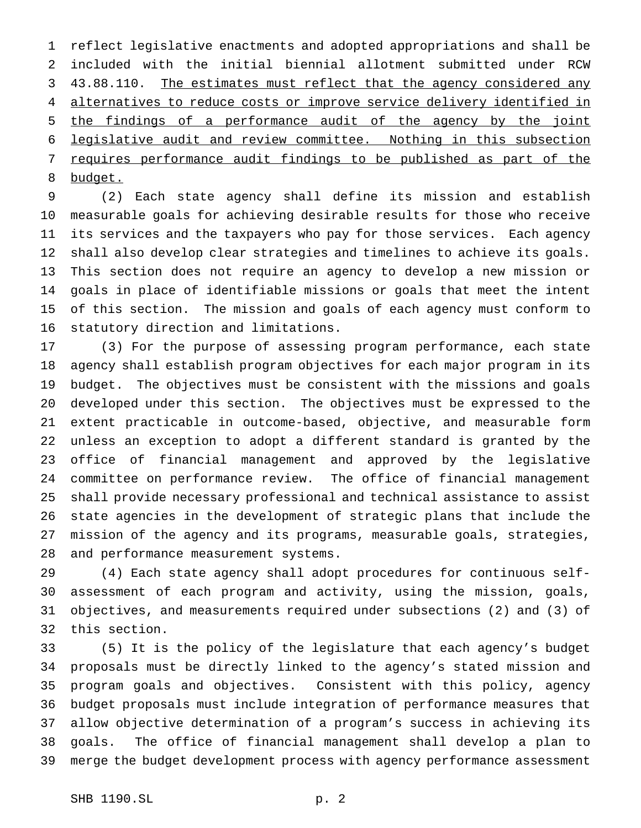reflect legislative enactments and adopted appropriations and shall be included with the initial biennial allotment submitted under RCW 3 43.88.110. The estimates must reflect that the agency considered any 4 alternatives to reduce costs or improve service delivery identified in the findings of a performance audit of the agency by the joint legislative audit and review committee. Nothing in this subsection requires performance audit findings to be published as part of the budget.

 (2) Each state agency shall define its mission and establish measurable goals for achieving desirable results for those who receive its services and the taxpayers who pay for those services. Each agency shall also develop clear strategies and timelines to achieve its goals. This section does not require an agency to develop a new mission or goals in place of identifiable missions or goals that meet the intent of this section. The mission and goals of each agency must conform to statutory direction and limitations.

 (3) For the purpose of assessing program performance, each state agency shall establish program objectives for each major program in its budget. The objectives must be consistent with the missions and goals developed under this section. The objectives must be expressed to the extent practicable in outcome-based, objective, and measurable form unless an exception to adopt a different standard is granted by the office of financial management and approved by the legislative committee on performance review. The office of financial management shall provide necessary professional and technical assistance to assist state agencies in the development of strategic plans that include the mission of the agency and its programs, measurable goals, strategies, and performance measurement systems.

 (4) Each state agency shall adopt procedures for continuous self- assessment of each program and activity, using the mission, goals, objectives, and measurements required under subsections (2) and (3) of this section.

 (5) It is the policy of the legislature that each agency's budget proposals must be directly linked to the agency's stated mission and program goals and objectives. Consistent with this policy, agency budget proposals must include integration of performance measures that allow objective determination of a program's success in achieving its goals. The office of financial management shall develop a plan to merge the budget development process with agency performance assessment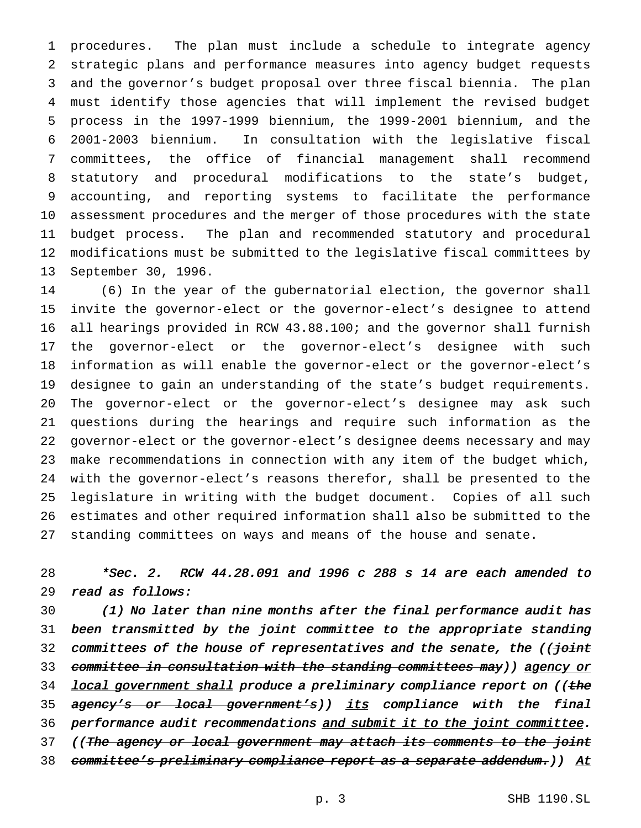procedures. The plan must include a schedule to integrate agency strategic plans and performance measures into agency budget requests and the governor's budget proposal over three fiscal biennia. The plan must identify those agencies that will implement the revised budget process in the 1997-1999 biennium, the 1999-2001 biennium, and the 2001-2003 biennium. In consultation with the legislative fiscal committees, the office of financial management shall recommend statutory and procedural modifications to the state's budget, accounting, and reporting systems to facilitate the performance assessment procedures and the merger of those procedures with the state budget process. The plan and recommended statutory and procedural modifications must be submitted to the legislative fiscal committees by September 30, 1996.

 (6) In the year of the gubernatorial election, the governor shall invite the governor-elect or the governor-elect's designee to attend all hearings provided in RCW 43.88.100; and the governor shall furnish the governor-elect or the governor-elect's designee with such information as will enable the governor-elect or the governor-elect's designee to gain an understanding of the state's budget requirements. The governor-elect or the governor-elect's designee may ask such questions during the hearings and require such information as the governor-elect or the governor-elect's designee deems necessary and may make recommendations in connection with any item of the budget which, with the governor-elect's reasons therefor, shall be presented to the legislature in writing with the budget document. Copies of all such estimates and other required information shall also be submitted to the standing committees on ways and means of the house and senate.

 \*Sec. 2. RCW 44.28.091 and <sup>1996</sup> <sup>c</sup> <sup>288</sup> <sup>s</sup> <sup>14</sup> are each amended to read as follows:

 (1) No later than nine months after the final performance audit has been transmitted by the joint committee to the appropriate standing 32 committees of the house of representatives and the senate, the ((foint 33 committee in consultation with the standing committees may)) agency or 34 local government shall produce a preliminary compliance report on ((the 35 agency's or local government's)) its compliance with the final 36 performance audit recommendations and submit it to the joint committee. 37 ((The agency or local government may attach its comments to the joint 38 committee's preliminary compliance report as a separate addendum.) At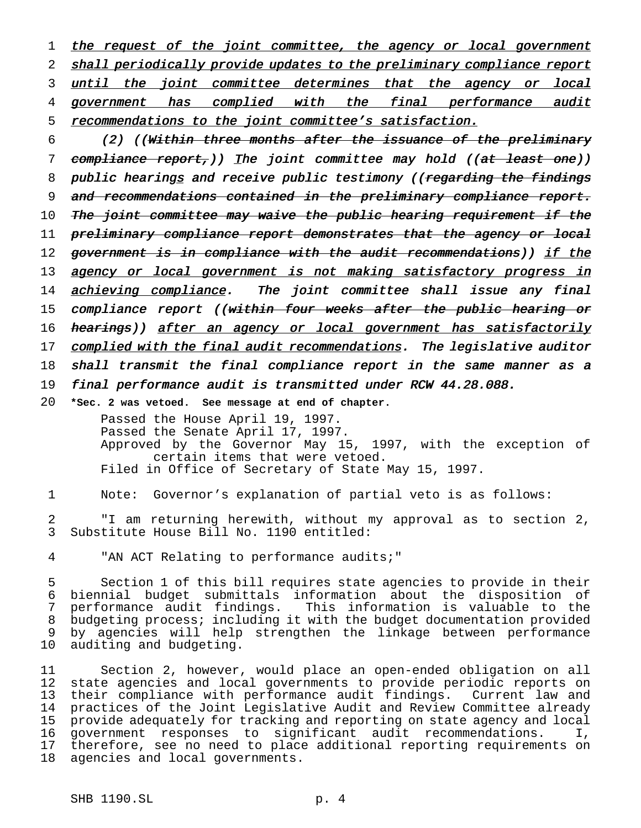1 the request of the joint committee, the agency or local government 2 shall periodically provide updates to the preliminary compliance report 3 until the joint committee determines that the agency or local 4 government has complied with the final performance audit 5 recommendations to the joint committee's satisfaction.

6 (2) ((Within three months after the issuance of the preliminary 7 compliance report,)) The joint committee may hold ((at least one)) 8 public hearings and receive public testimony ((regarding the findings 9 and recommendations contained in the preliminary compliance report. 10 The joint committee may waive the public hearing requirement if the 11 preliminary compliance report demonstrates that the agency or local 12 government is in compliance with the audit recommendations)) if the 13 agency or local government is not making satisfactory progress in 14 achieving compliance. The joint committee shall issue any final 15 compliance report ((within four weeks after the public hearing or 16 hearings)) after an agency or local government has satisfactorily 17 complied with the final audit recommendations. The legislative auditor 18 shall transmit the final compliance report in the same manner as a 19 final performance audit is transmitted under RCW 44.28.088. 20 **\*Sec. 2 was vetoed. See message at end of chapter.**

Passed the House April 19, 1997. Passed the Senate April 17, 1997. Approved by the Governor May 15, 1997, with the exception of certain items that were vetoed. Filed in Office of Secretary of State May 15, 1997.

1 Note: Governor's explanation of partial veto is as follows:

2 "I am returning herewith, without my approval as to section 2, 3 Substitute House Bill No. 1190 entitled:

4 "AN ACT Relating to performance audits;"

 Section 1 of this bill requires state agencies to provide in their biennial budget submittals information about the disposition of performance audit findings. This information is valuable to the budgeting process; including it with the budget documentation provided by agencies will help strengthen the linkage between performance auditing and budgeting.

 Section 2, however, would place an open-ended obligation on all state agencies and local governments to provide periodic reports on their compliance with performance audit findings. Current law and practices of the Joint Legislative Audit and Review Committee already provide adequately for tracking and reporting on state agency and local government responses to significant audit recommendations. I, therefore, see no need to place additional reporting requirements on agencies and local governments.